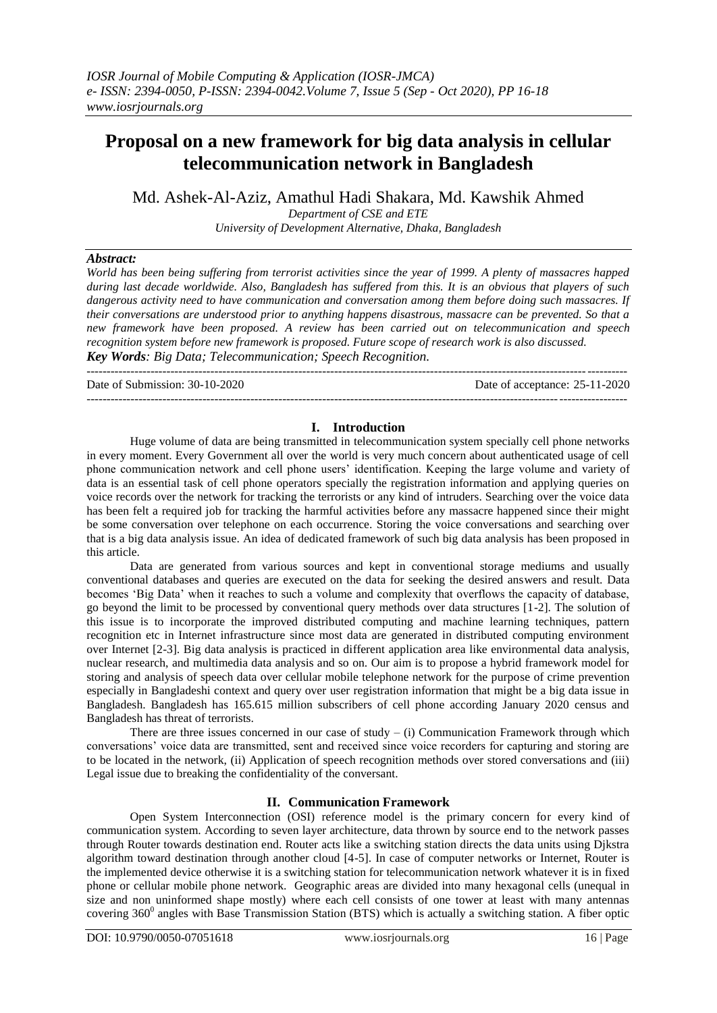# **Proposal on a new framework for big data analysis in cellular telecommunication network in Bangladesh**

Md. Ashek-Al-Aziz, Amathul Hadi Shakara, Md. Kawshik Ahmed

*Department of CSE and ETE University of Development Alternative, Dhaka, Bangladesh*

# *Abstract:*

*World has been being suffering from terrorist activities since the year of 1999. A plenty of massacres happed during last decade worldwide. Also, Bangladesh has suffered from this. It is an obvious that players of such dangerous activity need to have communication and conversation among them before doing such massacres. If their conversations are understood prior to anything happens disastrous, massacre can be prevented. So that a new framework have been proposed. A review has been carried out on telecommunication and speech recognition system before new framework is proposed. Future scope of research work is also discussed. Key Words: Big Data; Telecommunication; Speech Recognition.*

Date of Submission: 30-10-2020 Date of acceptance: 25-11-2020

---------------------------------------------------------------------------------------------------------------------------------------

#### **I. Introduction**

---------------------------------------------------------------------------------------------------------------------------------------

Huge volume of data are being transmitted in telecommunication system specially cell phone networks in every moment. Every Government all over the world is very much concern about authenticated usage of cell phone communication network and cell phone users' identification. Keeping the large volume and variety of data is an essential task of cell phone operators specially the registration information and applying queries on voice records over the network for tracking the terrorists or any kind of intruders. Searching over the voice data has been felt a required job for tracking the harmful activities before any massacre happened since their might be some conversation over telephone on each occurrence. Storing the voice conversations and searching over that is a big data analysis issue. An idea of dedicated framework of such big data analysis has been proposed in this article.

Data are generated from various sources and kept in conventional storage mediums and usually conventional databases and queries are executed on the data for seeking the desired answers and result. Data becomes 'Big Data' when it reaches to such a volume and complexity that overflows the capacity of database, go beyond the limit to be processed by conventional query methods over data structures [1-2]. The solution of this issue is to incorporate the improved distributed computing and machine learning techniques, pattern recognition etc in Internet infrastructure since most data are generated in distributed computing environment over Internet [2-3]. Big data analysis is practiced in different application area like environmental data analysis, nuclear research, and multimedia data analysis and so on. Our aim is to propose a hybrid framework model for storing and analysis of speech data over cellular mobile telephone network for the purpose of crime prevention especially in Bangladeshi context and query over user registration information that might be a big data issue in Bangladesh. Bangladesh has 165.615 million subscribers of cell phone according January 2020 census and Bangladesh has threat of terrorists.

There are three issues concerned in our case of study  $-$  (i) Communication Framework through which conversations' voice data are transmitted, sent and received since voice recorders for capturing and storing are to be located in the network, (ii) Application of speech recognition methods over stored conversations and (iii) Legal issue due to breaking the confidentiality of the conversant.

#### **II. Communication Framework**

Open System Interconnection (OSI) reference model is the primary concern for every kind of communication system. According to seven layer architecture, data thrown by source end to the network passes through Router towards destination end. Router acts like a switching station directs the data units using Djkstra algorithm toward destination through another cloud [4-5]. In case of computer networks or Internet, Router is the implemented device otherwise it is a switching station for telecommunication network whatever it is in fixed phone or cellular mobile phone network. Geographic areas are divided into many hexagonal cells (unequal in size and non uninformed shape mostly) where each cell consists of one tower at least with many antennas covering  $360^0$  angles with Base Transmission Station (BTS) which is actually a switching station. A fiber optic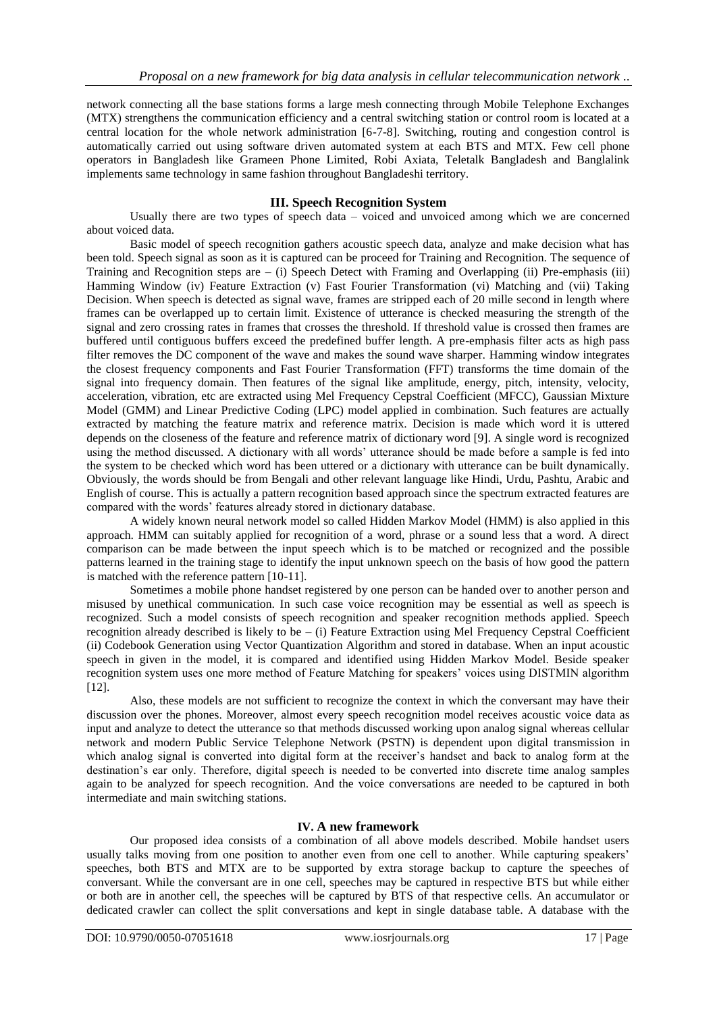network connecting all the base stations forms a large mesh connecting through Mobile Telephone Exchanges (MTX) strengthens the communication efficiency and a central switching station or control room is located at a central location for the whole network administration [6-7-8]. Switching, routing and congestion control is automatically carried out using software driven automated system at each BTS and MTX. Few cell phone operators in Bangladesh like Grameen Phone Limited, Robi Axiata, Teletalk Bangladesh and Banglalink implements same technology in same fashion throughout Bangladeshi territory.

# **III. Speech Recognition System**

Usually there are two types of speech data – voiced and unvoiced among which we are concerned about voiced data.

Basic model of speech recognition gathers acoustic speech data, analyze and make decision what has been told. Speech signal as soon as it is captured can be proceed for Training and Recognition. The sequence of Training and Recognition steps are – (i) Speech Detect with Framing and Overlapping (ii) Pre-emphasis (iii) Hamming Window (iv) Feature Extraction (v) Fast Fourier Transformation (vi) Matching and (vii) Taking Decision. When speech is detected as signal wave, frames are stripped each of 20 mille second in length where frames can be overlapped up to certain limit. Existence of utterance is checked measuring the strength of the signal and zero crossing rates in frames that crosses the threshold. If threshold value is crossed then frames are buffered until contiguous buffers exceed the predefined buffer length. A pre-emphasis filter acts as high pass filter removes the DC component of the wave and makes the sound wave sharper. Hamming window integrates the closest frequency components and Fast Fourier Transformation (FFT) transforms the time domain of the signal into frequency domain. Then features of the signal like amplitude, energy, pitch, intensity, velocity, acceleration, vibration, etc are extracted using Mel Frequency Cepstral Coefficient (MFCC), Gaussian Mixture Model (GMM) and Linear Predictive Coding (LPC) model applied in combination. Such features are actually extracted by matching the feature matrix and reference matrix. Decision is made which word it is uttered depends on the closeness of the feature and reference matrix of dictionary word [9]. A single word is recognized using the method discussed. A dictionary with all words' utterance should be made before a sample is fed into the system to be checked which word has been uttered or a dictionary with utterance can be built dynamically. Obviously, the words should be from Bengali and other relevant language like Hindi, Urdu, Pashtu, Arabic and English of course. This is actually a pattern recognition based approach since the spectrum extracted features are compared with the words' features already stored in dictionary database.

A widely known neural network model so called Hidden Markov Model (HMM) is also applied in this approach. HMM can suitably applied for recognition of a word, phrase or a sound less that a word. A direct comparison can be made between the input speech which is to be matched or recognized and the possible patterns learned in the training stage to identify the input unknown speech on the basis of how good the pattern is matched with the reference pattern [10-11].

Sometimes a mobile phone handset registered by one person can be handed over to another person and misused by unethical communication. In such case voice recognition may be essential as well as speech is recognized. Such a model consists of speech recognition and speaker recognition methods applied. Speech recognition already described is likely to be – (i) Feature Extraction using Mel Frequency Cepstral Coefficient (ii) Codebook Generation using Vector Quantization Algorithm and stored in database. When an input acoustic speech in given in the model, it is compared and identified using Hidden Markov Model. Beside speaker recognition system uses one more method of Feature Matching for speakers' voices using DISTMIN algorithm [12].

Also, these models are not sufficient to recognize the context in which the conversant may have their discussion over the phones. Moreover, almost every speech recognition model receives acoustic voice data as input and analyze to detect the utterance so that methods discussed working upon analog signal whereas cellular network and modern Public Service Telephone Network (PSTN) is dependent upon digital transmission in which analog signal is converted into digital form at the receiver's handset and back to analog form at the destination's ear only. Therefore, digital speech is needed to be converted into discrete time analog samples again to be analyzed for speech recognition. And the voice conversations are needed to be captured in both intermediate and main switching stations.

## **IV. A new framework**

Our proposed idea consists of a combination of all above models described. Mobile handset users usually talks moving from one position to another even from one cell to another. While capturing speakers' speeches, both BTS and MTX are to be supported by extra storage backup to capture the speeches of conversant. While the conversant are in one cell, speeches may be captured in respective BTS but while either or both are in another cell, the speeches will be captured by BTS of that respective cells. An accumulator or dedicated crawler can collect the split conversations and kept in single database table. A database with the